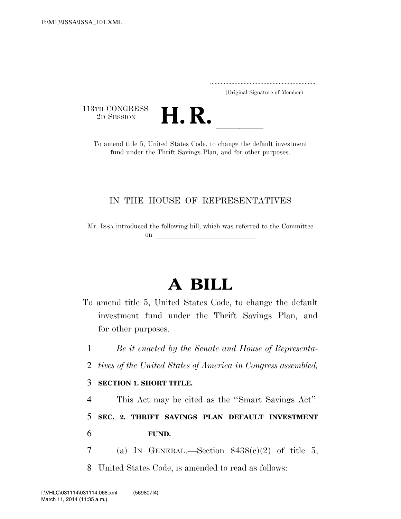..................................................................... (Original Signature of Member)

113TH CONGRESS<br>2D SESSION



TH CONGRESS<br>
2D SESSION<br>
To amend title 5, United States Code, to change the default investment fund under the Thrift Savings Plan, and for other purposes.

## IN THE HOUSE OF REPRESENTATIVES

Mr. ISSA introduced the following bill; which was referred to the Committee on  $\overline{\phantom{a}}$ 

## **A BILL**

- To amend title 5, United States Code, to change the default investment fund under the Thrift Savings Plan, and for other purposes.
	- 1 *Be it enacted by the Senate and House of Representa-*
	- 2 *tives of the United States of America in Congress assembled,*

## 3 **SECTION 1. SHORT TITLE.**

4 This Act may be cited as the ''Smart Savings Act''.

5 **SEC. 2. THRIFT SAVINGS PLAN DEFAULT INVESTMENT**  6 **FUND.** 

7 (a) IN GENERAL.—Section  $8438(c)(2)$  of title 5,

8 United States Code, is amended to read as follows: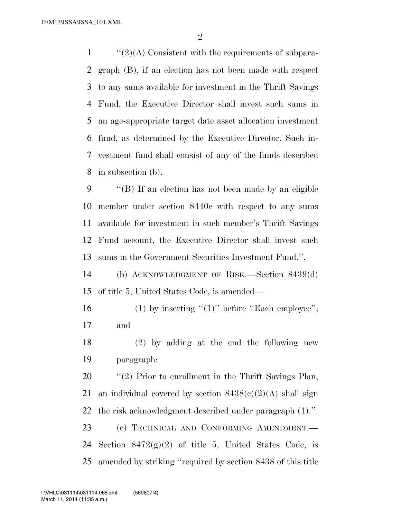''(2)(A) Consistent with the requirements of subpara- graph (B), if an election has not been made with respect to any sums available for investment in the Thrift Savings Fund, the Executive Director shall invest such sums in an age-appropriate target date asset allocation investment fund, as determined by the Executive Director. Such in- vestment fund shall consist of any of the funds described in subsection (b).

 ''(B) If an election has not been made by an eligible member under section 8440e with respect to any sums available for investment in such member's Thrift Savings Fund account, the Executive Director shall invest such sums in the Government Securities Investment Fund.''.

 (b) ACKNOWLEDGMENT OF RISK.—Section 8439(d) of title 5, United States Code, is amended—

16 (1) by inserting " $(1)$ " before "Each employee"; and

 (2) by adding at the end the following new paragraph:

 $\frac{1}{2}$  (2) Prior to enrollment in the Thrift Savings Plan, 21 an individual covered by section  $8438(c)(2)(A)$  shall sign the risk acknowledgment described under paragraph (1).''. (c) TECHNICAL AND CONFORMING AMENDMENT.— 24 Section  $8472(g)(2)$  of title 5, United States Code, is amended by striking ''required by section 8438 of this title